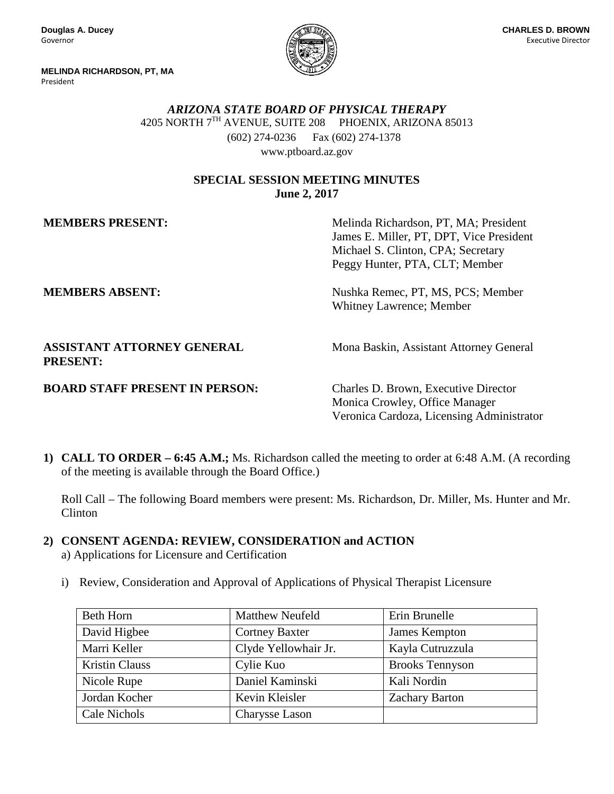**Douglas A. Ducey** Governor

**MELINDA RICHARDSON, PT, MA** President



*ARIZONA STATE BOARD OF PHYSICAL THERAPY* 4205 NORTH 7TH AVENUE, SUITE 208 PHOENIX, ARIZONA 85013  (602) 274-0236 Fax (602) 274-1378 www.ptboard.az.gov

#### **SPECIAL SESSION MEETING MINUTES June 2, 2017**

**MEMBERS PRESENT:** Melinda Richardson, PT, MA; President James E. Miller, PT, DPT, Vice President Michael S. Clinton, CPA; Secretary Peggy Hunter, PTA, CLT; Member

**MEMBERS ABSENT:** Nushka Remec, PT, MS, PCS; Member Whitney Lawrence; Member

**ASSISTANT ATTORNEY GENERAL Mona Baskin, Assistant Attorney General PRESENT:**

## **BOARD STAFF PRESENT IN PERSON:** Charles D. Brown, Executive Director

Monica Crowley, Office Manager Veronica Cardoza, Licensing Administrator

**1) CALL TO ORDER – 6:45 A.M.;** Ms. Richardson called the meeting to order at 6:48 A.M. (A recording of the meeting is available through the Board Office.)

Roll Call – The following Board members were present: Ms. Richardson, Dr. Miller, Ms. Hunter and Mr. Clinton

## **2) CONSENT AGENDA: REVIEW, CONSIDERATION and ACTION**

a) Applications for Licensure and Certification

i) Review, Consideration and Approval of Applications of Physical Therapist Licensure

| Beth Horn             | <b>Matthew Neufeld</b> | Erin Brunelle          |
|-----------------------|------------------------|------------------------|
| David Higbee          | <b>Cortney Baxter</b>  | James Kempton          |
| Marri Keller          | Clyde Yellowhair Jr.   | Kayla Cutruzzula       |
| <b>Kristin Clauss</b> | Cylie Kuo              | <b>Brooks Tennyson</b> |
| Nicole Rupe           | Daniel Kaminski        | Kali Nordin            |
| Jordan Kocher         | Kevin Kleisler         | <b>Zachary Barton</b>  |
| Cale Nichols          | Charysse Lason         |                        |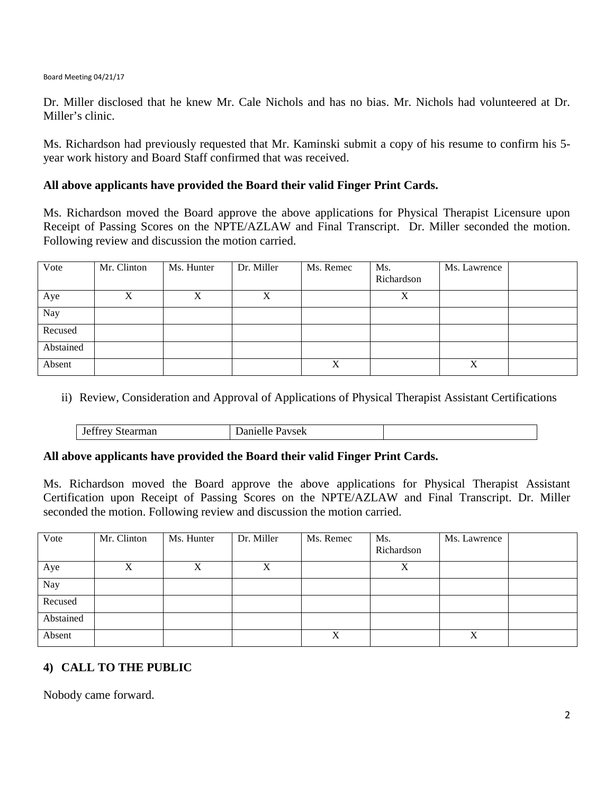#### Board Meeting 04/21/17

Dr. Miller disclosed that he knew Mr. Cale Nichols and has no bias. Mr. Nichols had volunteered at Dr. Miller's clinic.

Ms. Richardson had previously requested that Mr. Kaminski submit a copy of his resume to confirm his 5 year work history and Board Staff confirmed that was received.

#### **All above applicants have provided the Board their valid Finger Print Cards.**

Ms. Richardson moved the Board approve the above applications for Physical Therapist Licensure upon Receipt of Passing Scores on the NPTE/AZLAW and Final Transcript. Dr. Miller seconded the motion. Following review and discussion the motion carried.

| Vote      | Mr. Clinton | Ms. Hunter | Dr. Miller | Ms. Remec | Ms.<br>Richardson | Ms. Lawrence |  |
|-----------|-------------|------------|------------|-----------|-------------------|--------------|--|
| Aye       | Х           | Х          | X          |           | X                 |              |  |
| Nay       |             |            |            |           |                   |              |  |
| Recused   |             |            |            |           |                   |              |  |
| Abstained |             |            |            |           |                   |              |  |
| Absent    |             |            |            | X         |                   | X            |  |

ii) Review, Consideration and Approval of Applications of Physical Therapist Assistant Certifications

| Danielle Pavsek | <b>Jeffrey Stearman</b> |
|-----------------|-------------------------|
|                 |                         |

#### **All above applicants have provided the Board their valid Finger Print Cards.**

Ms. Richardson moved the Board approve the above applications for Physical Therapist Assistant Certification upon Receipt of Passing Scores on the NPTE/AZLAW and Final Transcript. Dr. Miller seconded the motion. Following review and discussion the motion carried.

| Vote      | Mr. Clinton | Ms. Hunter | Dr. Miller | Ms. Remec | Ms.<br>Richardson | Ms. Lawrence |  |
|-----------|-------------|------------|------------|-----------|-------------------|--------------|--|
| Aye       | Х           | X          |            |           | v<br>Λ            |              |  |
| Nay       |             |            |            |           |                   |              |  |
| Recused   |             |            |            |           |                   |              |  |
| Abstained |             |            |            |           |                   |              |  |
| Absent    |             |            |            | v         |                   | X            |  |

## **4) CALL TO THE PUBLIC**

Nobody came forward.